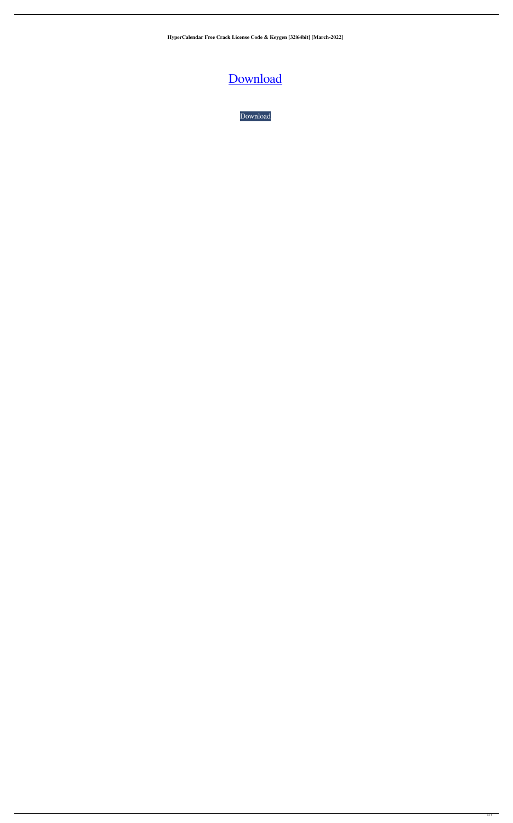**HyperCalendar Free Crack License Code & Keygen [32|64bit] [March-2022]**

## [Download](http://evacdir.com/ZG93bmxvYWR8SDhqTjIwMU1IeDhNVFkxTkRVeU1qRXhNSHg4TWpVNU1IeDhLRTBwSUZkdmNtUndjbVZ6Y3lCYldFMU1VbEJESUZZeUlGQkVSbDA.aaos/porterhouse/creamer/knotted.pentathlon/milliondollarhomepage/SHlwZXJDYWxlbmRhciBGcmVlSHl)

[Download](http://evacdir.com/ZG93bmxvYWR8SDhqTjIwMU1IeDhNVFkxTkRVeU1qRXhNSHg4TWpVNU1IeDhLRTBwSUZkdmNtUndjbVZ6Y3lCYldFMU1VbEJESUZZeUlGQkVSbDA.aaos/porterhouse/creamer/knotted.pentathlon/milliondollarhomepage/SHlwZXJDYWxlbmRhciBGcmVlSHl)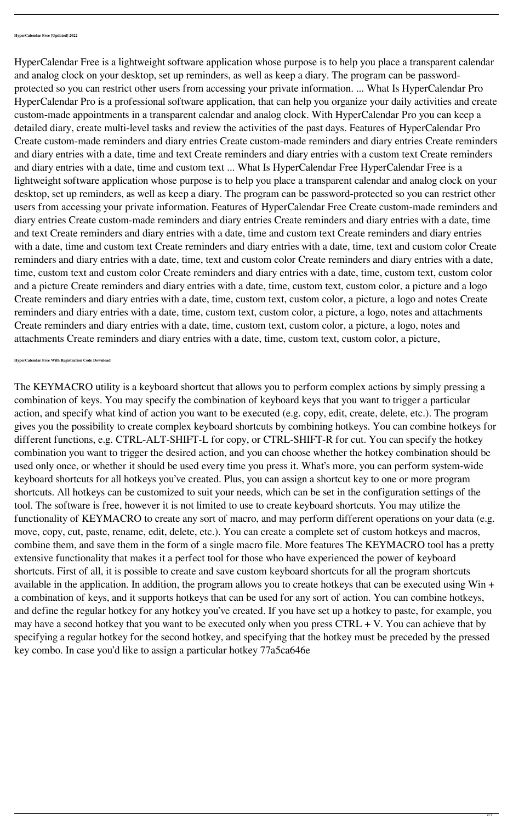HyperCalendar Free is a lightweight software application whose purpose is to help you place a transparent calendar and analog clock on your desktop, set up reminders, as well as keep a diary. The program can be passwordprotected so you can restrict other users from accessing your private information. ... What Is HyperCalendar Pro HyperCalendar Pro is a professional software application, that can help you organize your daily activities and create custom-made appointments in a transparent calendar and analog clock. With HyperCalendar Pro you can keep a detailed diary, create multi-level tasks and review the activities of the past days. Features of HyperCalendar Pro Create custom-made reminders and diary entries Create custom-made reminders and diary entries Create reminders and diary entries with a date, time and text Create reminders and diary entries with a custom text Create reminders and diary entries with a date, time and custom text ... What Is HyperCalendar Free HyperCalendar Free is a lightweight software application whose purpose is to help you place a transparent calendar and analog clock on your desktop, set up reminders, as well as keep a diary. The program can be password-protected so you can restrict other users from accessing your private information. Features of HyperCalendar Free Create custom-made reminders and diary entries Create custom-made reminders and diary entries Create reminders and diary entries with a date, time and text Create reminders and diary entries with a date, time and custom text Create reminders and diary entries with a date, time and custom text Create reminders and diary entries with a date, time, text and custom color Create reminders and diary entries with a date, time, text and custom color Create reminders and diary entries with a date, time, custom text and custom color Create reminders and diary entries with a date, time, custom text, custom color and a picture Create reminders and diary entries with a date, time, custom text, custom color, a picture and a logo Create reminders and diary entries with a date, time, custom text, custom color, a picture, a logo and notes Create reminders and diary entries with a date, time, custom text, custom color, a picture, a logo, notes and attachments Create reminders and diary entries with a date, time, custom text, custom color, a picture, a logo, notes and attachments Create reminders and diary entries with a date, time, custom text, custom color, a picture,

**HyperCalendar Free With Registration Code Download**

The KEYMACRO utility is a keyboard shortcut that allows you to perform complex actions by simply pressing a combination of keys. You may specify the combination of keyboard keys that you want to trigger a particular action, and specify what kind of action you want to be executed (e.g. copy, edit, create, delete, etc.). The program gives you the possibility to create complex keyboard shortcuts by combining hotkeys. You can combine hotkeys for different functions, e.g. CTRL-ALT-SHIFT-L for copy, or CTRL-SHIFT-R for cut. You can specify the hotkey combination you want to trigger the desired action, and you can choose whether the hotkey combination should be used only once, or whether it should be used every time you press it. What's more, you can perform system-wide keyboard shortcuts for all hotkeys you've created. Plus, you can assign a shortcut key to one or more program shortcuts. All hotkeys can be customized to suit your needs, which can be set in the configuration settings of the tool. The software is free, however it is not limited to use to create keyboard shortcuts. You may utilize the functionality of KEYMACRO to create any sort of macro, and may perform different operations on your data (e.g. move, copy, cut, paste, rename, edit, delete, etc.). You can create a complete set of custom hotkeys and macros, combine them, and save them in the form of a single macro file. More features The KEYMACRO tool has a pretty extensive functionality that makes it a perfect tool for those who have experienced the power of keyboard shortcuts. First of all, it is possible to create and save custom keyboard shortcuts for all the program shortcuts available in the application. In addition, the program allows you to create hotkeys that can be executed using Win + a combination of keys, and it supports hotkeys that can be used for any sort of action. You can combine hotkeys,

and define the regular hotkey for any hotkey you've created. If you have set up a hotkey to paste, for example, you may have a second hotkey that you want to be executed only when you press  $CTRL + V$ . You can achieve that by specifying a regular hotkey for the second hotkey, and specifying that the hotkey must be preceded by the pressed key combo. In case you'd like to assign a particular hotkey 77a5ca646e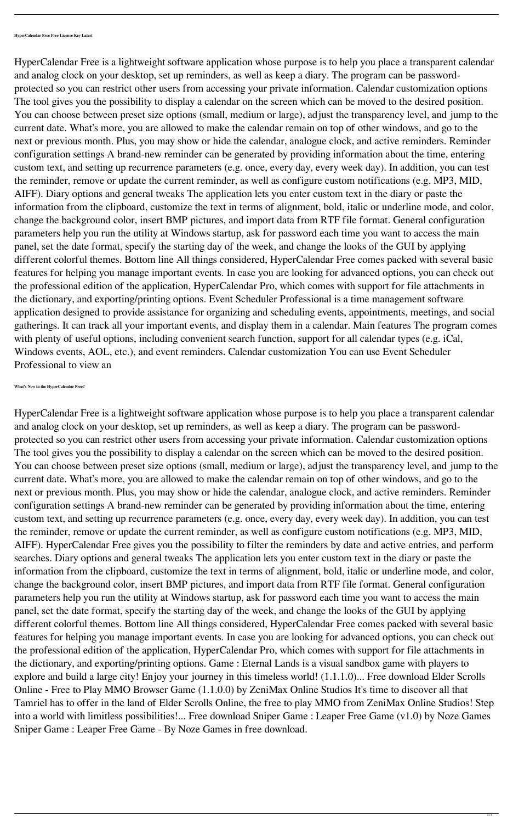HyperCalendar Free is a lightweight software application whose purpose is to help you place a transparent calendar and analog clock on your desktop, set up reminders, as well as keep a diary. The program can be passwordprotected so you can restrict other users from accessing your private information. Calendar customization options The tool gives you the possibility to display a calendar on the screen which can be moved to the desired position. You can choose between preset size options (small, medium or large), adjust the transparency level, and jump to the current date. What's more, you are allowed to make the calendar remain on top of other windows, and go to the next or previous month. Plus, you may show or hide the calendar, analogue clock, and active reminders. Reminder configuration settings A brand-new reminder can be generated by providing information about the time, entering custom text, and setting up recurrence parameters (e.g. once, every day, every week day). In addition, you can test the reminder, remove or update the current reminder, as well as configure custom notifications (e.g. MP3, MID, AIFF). Diary options and general tweaks The application lets you enter custom text in the diary or paste the information from the clipboard, customize the text in terms of alignment, bold, italic or underline mode, and color, change the background color, insert BMP pictures, and import data from RTF file format. General configuration parameters help you run the utility at Windows startup, ask for password each time you want to access the main panel, set the date format, specify the starting day of the week, and change the looks of the GUI by applying different colorful themes. Bottom line All things considered, HyperCalendar Free comes packed with several basic features for helping you manage important events. In case you are looking for advanced options, you can check out the professional edition of the application, HyperCalendar Pro, which comes with support for file attachments in the dictionary, and exporting/printing options. Event Scheduler Professional is a time management software application designed to provide assistance for organizing and scheduling events, appointments, meetings, and social gatherings. It can track all your important events, and display them in a calendar. Main features The program comes with plenty of useful options, including convenient search function, support for all calendar types (e.g. iCal, Windows events, AOL, etc.), and event reminders. Calendar customization You can use Event Scheduler Professional to view an

**What's New in the HyperCalendar Free?**

HyperCalendar Free is a lightweight software application whose purpose is to help you place a transparent calendar and analog clock on your desktop, set up reminders, as well as keep a diary. The program can be passwordprotected so you can restrict other users from accessing your private information. Calendar customization options The tool gives you the possibility to display a calendar on the screen which can be moved to the desired position. You can choose between preset size options (small, medium or large), adjust the transparency level, and jump to the current date. What's more, you are allowed to make the calendar remain on top of other windows, and go to the next or previous month. Plus, you may show or hide the calendar, analogue clock, and active reminders. Reminder configuration settings A brand-new reminder can be generated by providing information about the time, entering custom text, and setting up recurrence parameters (e.g. once, every day, every week day). In addition, you can test the reminder, remove or update the current reminder, as well as configure custom notifications (e.g. MP3, MID, AIFF). HyperCalendar Free gives you the possibility to filter the reminders by date and active entries, and perform searches. Diary options and general tweaks The application lets you enter custom text in the diary or paste the information from the clipboard, customize the text in terms of alignment, bold, italic or underline mode, and color, change the background color, insert BMP pictures, and import data from RTF file format. General configuration parameters help you run the utility at Windows startup, ask for password each time you want to access the main panel, set the date format, specify the starting day of the week, and change the looks of the GUI by applying different colorful themes. Bottom line All things considered, HyperCalendar Free comes packed with several basic features for helping you manage important events. In case you are looking for advanced options, you can check out the professional edition of the application, HyperCalendar Pro, which comes with support for file attachments in the dictionary, and exporting/printing options. Game : Eternal Lands is a visual sandbox game with players to explore and build a large city! Enjoy your journey in this timeless world! (1.1.1.0)... Free download Elder Scrolls Online - Free to Play MMO Browser Game (1.1.0.0) by ZeniMax Online Studios It's time to discover all that Tamriel has to offer in the land of Elder Scrolls Online, the free to play MMO from ZeniMax Online Studios! Step into a world with limitless possibilities!... Free download Sniper Game : Leaper Free Game (v1.0) by Noze Games Sniper Game : Leaper Free Game - By Noze Games in free download.